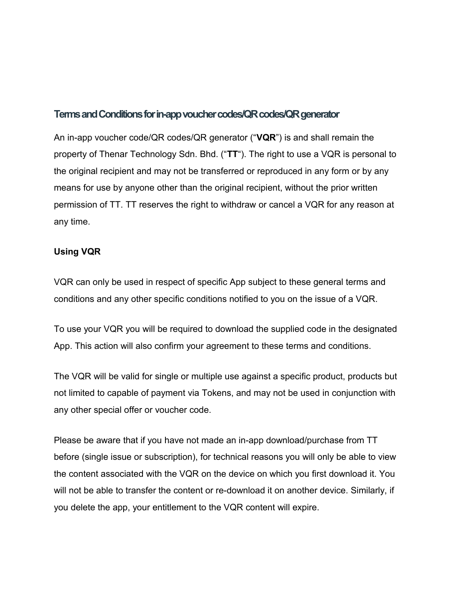## **Terms and Conditions for in-app voucher codes/QR codes/QR generator**

An in-app voucher code/QR codes/QR generator ("**VQR**") is and shall remain the property of Thenar Technology Sdn. Bhd. ("**TT**"). The right to use a VQR is personal to the original recipient and may not be transferred or reproduced in any form or by any means for use by anyone other than the original recipient, without the prior written permission of TT. TT reserves the right to withdraw or cancel a VQR for any reason at any time.

## **Using VQR**

VQR can only be used in respect of specific App subject to these general terms and conditions and any other specific conditions notified to you on the issue of a VQR.

To use your VQR you will be required to download the supplied code in the designated App. This action will also confirm your agreement to these terms and conditions.

The VQR will be valid for single or multiple use against a specific product, products but not limited to capable of payment via Tokens, and may not be used in conjunction with any other special offer or voucher code.

Please be aware that if you have not made an in-app download/purchase from TT before (single issue or subscription), for technical reasons you will only be able to view the content associated with the VQR on the device on which you first download it. You will not be able to transfer the content or re-download it on another device. Similarly, if you delete the app, your entitlement to the VQR content will expire.